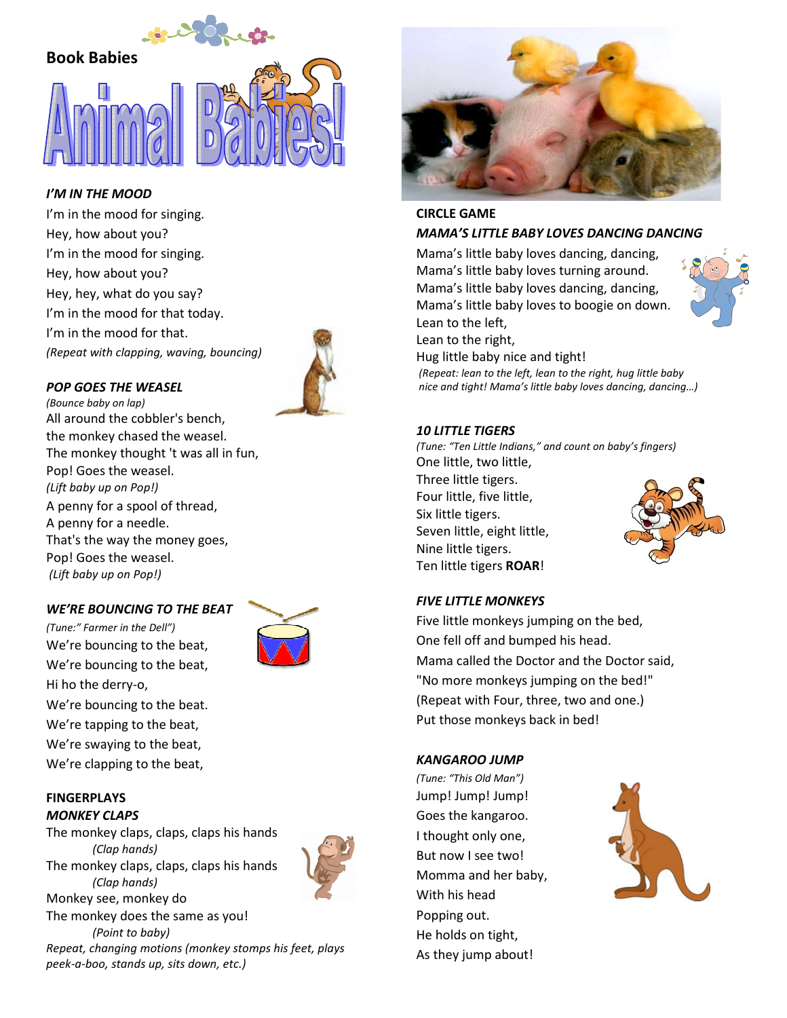

### I'M IN THE MOOD

I'm in the mood for singing. Hey, how about you? I'm in the mood for singing. Hey, how about you? Hey, hey, what do you say? I'm in the mood for that today. I'm in the mood for that. (Repeat with clapping, waving, bouncing)



(Bounce baby on lap) All around the cobbler's bench, the monkey chased the weasel. The monkey thought 't was all in fun, Pop! Goes the weasel. (Lift baby up on Pop!) A penny for a spool of thread, A penny for a needle. That's the way the money goes, Pop! Goes the weasel. (Lift baby up on Pop!)

### WE'RE BOUNCING TO THE BEAT

(Tune:" Farmer in the Dell") We're bouncing to the beat, We're bouncing to the beat, Hi ho the derry-o, We're bouncing to the beat. We're tapping to the beat, We're swaying to the beat, We're clapping to the beat,





The monkey claps, claps, claps his hands (Clap hands) The monkey claps, claps, claps his hands (Clap hands) Monkey see, monkey do The monkey does the same as you! (Point to baby) Repeat, changing motions (monkey stomps his feet, plays peek-a-boo, stands up, sits down, etc.)



### CIRCLE GAME MAMA'S LITTLE BABY LOVES DANCING DANCING

Mama's little baby loves dancing, dancing, Mama's little baby loves turning around. Mama's little baby loves dancing, dancing, Mama's little baby loves to boogie on down. Lean to the left, Lean to the right, Hug little baby nice and tight! (Repeat: lean to the left, lean to the right, hug little baby nice and tight! Mama's little baby loves dancing, dancing…)



(Tune: "Ten Little Indians," and count on baby's fingers) One little, two little, Three little tigers. Four little, five little, Six little tigers. Seven little, eight little, Nine little tigers. Ten little tigers ROAR!

### FIVE LITTLE MONKEYS

Five little monkeys jumping on the bed, One fell off and bumped his head. Mama called the Doctor and the Doctor said, "No more monkeys jumping on the bed!" (Repeat with Four, three, two and one.) Put those monkeys back in bed!

#### KANGAROO JUMP

(Tune: "This Old Man") Jump! Jump! Jump! Goes the kangaroo. I thought only one, But now I see two! Momma and her baby, With his head Popping out. He holds on tight, As they jump about!